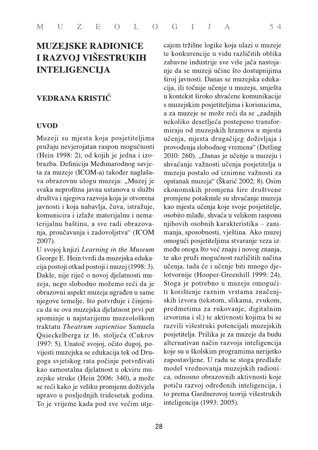# **MUZEJSKE RADIONICE** I RAZVOJ VIŠESTRUKIH **INTELIGENCIJA**

## **VEDRANA KRISTIĆ**

svaka neprolina javna ustanova u službi ekonomskih pronji društva i njegova razvoja koja je otvorena promjene potaknule komunicira i izlaže materijalnu i nema-<br>
i avnosti i koja nabavlja, čuva, istražuje, kao mjesta učenja zeja, nego slobodno możemo reći da je stoga je potrebno t<br>obrazovni aspekt muzeja ugraden u same i korištenje raznini<br>njegow temelje, što potvrđuje i činjeni- skih izvora (tekstom<br>ca da se ova muzejska djelatnost prvi put

**INTELIGENCIJA** nje da se muzeji uči<br>
siroj avnosti. Danas<br>
vieja konigli točnije učeniji i siroj i siroj i siroj i siroj i siroj i siroj i siroj i siroj i siroj i siroj i kontekst široko shv<br>
s muzejskim posijetiteljima E O L O G I J A S 4<br> **RADIONICE** cajem tržišne logike koja ulazi u muzeje<br>
ie konkurencije u vidu različitih oblika<br>
zabavne industrije sve više jača nastoja<br>
ie ie konkurencije u vidu različitih oblika<br>
zabavne industrij dedunarodnog suvje- shvačanje važnosti učenje pojevilelja u<br>Maj također naglaša-<br>muzeja: "Muzej je opstanak muzeja" (Škarić 2002: 8). Osim<br>a utamzeja: "Muzej je opstanak muzeja" (Škarić 2002: 8). Osim<br>ma ustanova u službi ieja ugrađen u same ti korištenje raznim vrstama značenj-<br>ootvrđuje i činjeni-skih izvora (tekstom, slikama, zvukom,<br>a djelatnost prvi predmetima za rukovanje, digitalnim<br>mu muzeološkom izvorima i sl.) te aktivnosti kojima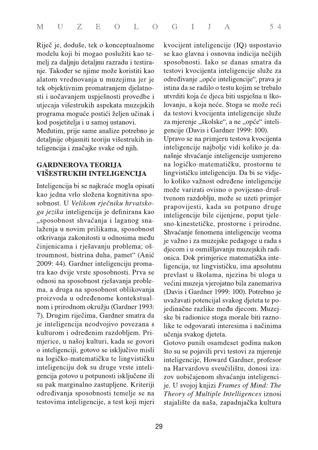Riječ je, doduše, tek o konceptualnome modelu koji bi mogao poslužiti kao temelj za daljnju detaljnu razradu i testiranje. Također se njime može koristiti kao alatom vrednovanja u muzejima jer je tek objektivnim promatranjem djelatnosti i uočavanjem uspješnosti provedbe i utjecaja višestrukih aspekata muzejskih programa moguće postići željen učinak i kod posjetitelja i u samoj ustanovi.

Međutim, prije same analize potrebno je detaljnije objasniti teoriju višestrukih inteligencija i značajke svake od njih.

## **GARDNEROVA TEORIJA** VIŠESTRUKIH INTELIGENCIJA

Inteligencija bi se najkraće mogla opisati kao jedna vrlo složena kognitivna sposobnost. U Velikom rječniku hrvatskoga jezika inteligencija je definirana kao "sposobnost shvaćanja i laganog snalaženja u novim prilikama, sposobnost otkrivanja zakonitosti u odnosima među činjenicama i rješavanju problema; oštroumnost, bistrina duha, pamet" (Anić 2009: 44). Gardner inteligenciju promatra kao dvije vrste sposobnosti. Prva se odnosi na sposobnost rješavanja problema, a druga na sposobnost oblikovanja proizvoda u određenome kontekstualnom i prirodnom okružju (Gardner 1993: 7). Drugim riječima, Gardner smatra da je inteligencija neodvojivo povezana s kulturom i određenim razdobljem. Primjerice, u našoj kulturi, kada se govori o inteligenciji, gotovo se isključivo misli na logičko-matematičku te lingvističku inteligenciju dok su druge vrste inteligencija gotovo u potpunosti isključene ili su pak marginalno zastupljene. Kriteriji određivanja sposobnosti temelje se na testovima inteligencije, a test koji mjeri

kvocijent inteligencije (IQ) uspostavio se kao glavna i osnovna indicija nečijih sposobnosti. Iako se danas smatra da testovi kvocijenta inteligencije služe za određivanje "opće inteligencije", prava je istina da se radilo o testu kojim se trebalo utvrditi koja će djeca biti uspješna u školovanju, a koja neće. Stoga se može reći da testovi kvocijenta inteligencije služe za mjerenje "školske", a ne "opće" inteligencije (Davis i Gardner 1999: 100).

Upravo se na primjeru testova kvocijenta inteligencije najbolje vidi koliko je današnje shvaćanje inteligencije usmjereno na logičko-matematičku, prostornu te lingvističku inteligenciju. Da bi se vidjelo koliko važnost određene inteligencije može varirati ovisno o povijesno-društvenom razdoblju, može se uzeti primjer prapovijesti, kada su potpuno druge inteligencije bile cijenjene, poput tjelesno-kinestetičke, prostorne i prirodne. Shvaćanje fenomena inteligencije veoma je važno i za muzejske pedagoge u radu s djecom i u osmišljavanju muzejskih radionica. Dok primjerice matematička inteligencija, uz lingvističku, ima apsolutnu prevlast u školama, njezina bi uloga u većini muzeja vjerojatno bila zanemariva (Davis i Gardner 1999: 100). Potrebno je uvažavati potencijal svakog djeteta te pojedinačne razlike među djecom. Muzejske bi radionice stoga morale biti raznolike te odgovarati interesima i načinima učenja svakog djeteta.

Gotovo punih osamdeset godina nakon što su se pojavili prvi testovi za mjerenje inteligencije, Howard Gardner, profesor na Harvardovu sveučilištu, donosi izazov uobičajenom shvaćanju inteligencije. U svojoj knjizi Frames of Mind: The Theory of Multiple Intelligences iznosi stajalište da naša, zapadnjačka kultura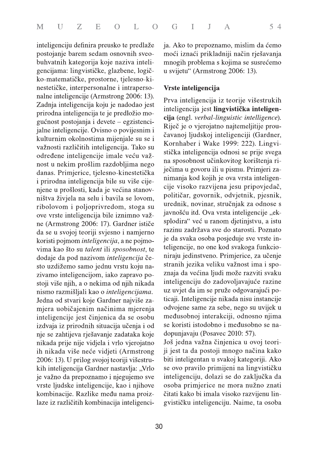inteligenciju definira preusko te predlaže postojanje barem sedam osnovnih sveobuhvatnih kategorija koje naziva inteligencijama: lingvističke, glazbene, logičko-matematičke, prostorne, tjelesno-kinestetičke, interpersonalne i intrapersonalne inteligencije (Armstrong 2006: 13). Zadnja inteligencija koju je nadodao jest prirodna inteligencija te je predložio moguénost postojanja i devete – egzistencijalne inteligencije. Ovisno o povijesnim i kulturnim okolnostima mijenjale su se i važnosti različitih inteligencija. Tako su određene inteligencije imale veću važnost u nekim prošlim razdobljima nego danas. Primjerice, tjelesno-kinestetička i prirodna inteligencija bile su više cijenjene u prošlosti, kada je većina stanovništva živjela na selu i bavila se lovom, ribolovom i poljoprivredom, stoga su ove vrste inteligencija bile iznimno važne (Armstrong 2006: 17). Gardner ističe da se u svojoj teoriji svjesno i namjerno koristi pojmom *inteligencija*, a ne pojmovima kao što su talent ili sposobnost, te dodaje da pod nazivom inteligencija često uzdižemo samo jednu vrstu koju nazivamo inteligencijom, iako zapravo postoji više njih, a o nekima od njih nikada nismo razmišljali kao o inteligencijama. Jedna od stvari koje Gardner najviše zamjera uobičajenim načinima mjerenja inteligencije jest činjenica da se osobu izdvaja iz prirodnih situacija učenja i od nje se zahtijeva rješavanje zadataka koje nikada prije nije vidjela i vrlo vjerojatno ih nikada više neće vidjeti (Armstrong 2006: 13). U prilog svojoj teoriji višestrukih inteligencija Gardner nastavlja: "Vrlo je važno da prepoznamo i njegujemo sve vrste ljudske inteligencije, kao i njihove kombinacije. Razlike među nama proizlaze iz različitih kombinacija inteligencija. Ako to prepoznamo, mislim da ćemo moći iznaći prikladniji način rješavanja mnogih problema s kojima se susrećemo u svijetu" (Armstrong 2006: 13).

## Vrste inteligencija

Prva inteligencija iz teorije višestrukih inteligencija jest lingvistička inteligencija (engl. verbal-linguistic intelligence). Riječ je o vjerojatno najtemeljitije proučavanoj ljudskoj inteligenciji (Gardner, Kornhaber i Wake 1999: 222). Lingvistička inteligencija odnosi se prije svega na sposobnost učinkovitog korištenja riječima u govoru ili u pismu. Primjeri zanimanja kod kojih je ova vrsta inteligencije visoko razvijena jesu pripovjedač, političar, govornik, odvjetnik, pjesnik, urednik, novinar, stručnjak za odnose s javnošću itd. Ova vrsta inteligencije "eksplodira" već u ranom djetinjstvu, a istu razinu zadržava sve do starosti. Poznato je da svaka osoba posjeduje sve vrste inteligencije, no one kod svakoga funkcioniraju jedinstveno. Primjerice, za učenje stranih jezika veliku važnost ima i spoznaja da većina ljudi može razviti svaku inteligenciju do zadovoljavajuće razine uz uvjet da im se pruže odgovarajući poticaji. Inteligencije nikada nisu instancije odvojene same za sebe, nego su uvijek u međusobnoj interakciji, odnosno njima se koristi istodobno i međusobno se nadopunjavaju (Posavec 2010: 57).

Još jedna važna činjenica u ovoj teoriji jest ta da postoji mnogo načina kako biti inteligentan u svakoj kategoriji. Ako se ovo pravilo primijeni na lingvističku inteligenciju, dolazi se do zaključka da osoba primjerice ne mora nužno znati čitati kako bi imala visoko razvijenu lingvističku inteligenciju. Naime, ta osoba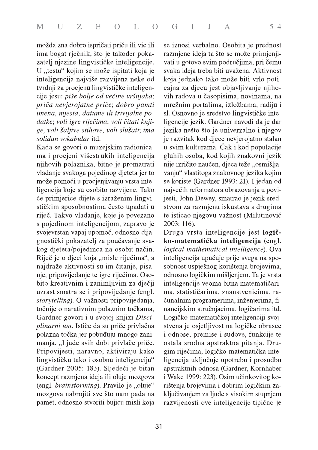možda zna dobro ispričati priču ili vic ili ima bogat rječnik, što je također pokazatelj njezine lingvističke inteligencije. U "testu" kojim se može ispitati koja je inteligencija najviše razvijena neke od tvrdnji za procjenu lingvističke inteligencije jesu: piše bolje od većine vršnjaka; priča nevjerojatne priče; dobro pamti imena, mjesta, datume ili trivijalne podatke; voli igre riječima; voli čitati knjige, voli šaljive stihove, voli slušati; ima solidan vokabular itd.

Kada se govori o muzejskim radionicama i procjeni višestrukih inteligencija njihovih polaznika, bitno je promatrati vladanje svakoga pojedinog djeteta jer to može pomoći u procjenjivanju vrsta inteligencija koje su osobito razvijene. Tako će primjerice dijete s izraženim lingvističkim sposobnostima često upadati u riječ. Takvo vladanje, koje je povezano s pojedinom inteligencijom, zapravo je svojevrstan vapaj upomoć, odnosno dijagnostički pokazatelj za poučavanje svakog djeteta/pojedinca na osobit način. Riječ je o djeci koja "misle riječima", a najdraže aktivnosti su im čitanje, pisanje, pripovijedanje te igre riječima. Osobito kreativnim i zanimljivim za dječji uzrast smatra se i pripovijedanje (engl. storytelling). O važnosti pripovijedanja, točnije o narativnim polaznim točkama, Gardner govori i u svojoj knjizi Disciplinarni um. Ističe da su priče privlačna polazna točka jer pobuđuju mnogo zanimanja. "Ljude svih dobi privlače priče. Pripovijesti, naravno, aktiviraju kako lingvističku tako i osobnu inteligenciju" (Gardner 2005: 183). Sljedeći je bitan koncept razmjena ideja ili oluje mozgova (engl. brainstorming). Pravilo je "oluje" mozgova nabrojiti sve što nam pada na pamet, odnosno stvoriti bujicu misli koja

se iznosi verbalno. Osobita je prednost razmjene ideja ta što se može primjenjivati u gotovo svim područjima, pri čemu svaka ideja treba biti uvažena. Aktivnost koja jednako tako može biti vrlo poticajna za djecu jest objavljivanje njihovih radova u časopisima, novinama, na mrežnim portalima, izložbama, radiju i sl. Osnovno je sredstvo lingvističke inteligencije jezik. Gardner navodi da je dar jezika nešto što je univerzalno i njegov je razvitak kod djece nevjerojatno stalan u svim kulturama. Čak i kod populacije gluhih osoba, kod kojih znakovni jezik nije izričito naučen, djeca teže "osmišljavanju" vlastitoga znakovnog jezika kojim se koriste (Gardner 1993: 21). I jedan od najvećih reformatora obrazovanja u povijesti, John Dewey, smatrao je jezik sredstvom za razmjenu iskustava s drugima te isticao njegovu važnost (Milutinović 2003: 116).

Druga vrsta inteligencije jest logičko-matematička inteligencija (engl. logical-mathematical intelligence). Ova inteligencija upućuje prije svega na sposobnost uspješnog korištenja brojevima, odnosno logičkim mišljenjem. Ta je vrsta inteligencije veoma bitna matematičarima, statističarima, znanstvenicima, računalnim programerima, inženjerima, financijskim stručnjacima, logičarima itd. Logičko-matematičkoj inteligenciji svojstvena je osjetljivost na logičke obrasce i odnose, premise i sudove, funkcije te ostala srodna apstraktna pitanja. Drugim riječima, logičko-matematička inteligencija uključuje upotrebu i prosudbu apstraktnih odnosa (Gardner, Kornhaber i Wake 1999: 223). Osim učinkovitog korištenja brojevima i dobrim logičkim zaključivanjem za ljude s visokim stupnjem razvijenosti ove inteligencije tipično je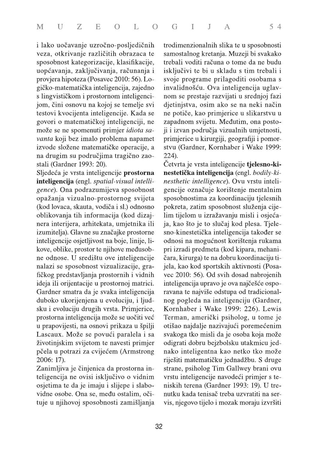i lako uočavanje uzročno-posljedičnih veza, otkrivanje različitih obrazaca te sposobnost kategorizacije, klasifikacije, uopćavanja, zaključivanja, računanja i provjera hipoteza (Posavec 2010: 56). Logičko-matematička inteligencija, zajedno s lingvističkom i prostornom inteligencijom, čini osnovu na kojoj se temelje svi testovi kvocijenta inteligencije. Kada se govori o matematičkoj inteligenciji, ne može se ne spomenuti primjer idiota savanta koji bez imalo problema napamet izvode složene matematičke operacije, a na drugim su područjima tragično zaostali (Gardner 1993: 20).

Sljedeća je vrsta inteligencije prostorna inteligencija (engl. spatial-visual intelligence). Ona podrazumijeva sposobnost opažanja vizualno-prostornog svijeta (kod lovaca, skauta, vodiča i sl.) odnosno oblikovanja tih informacija (kod dizajnera interijera, arhitekata, umjetnika ili izumitelja). Glavne su značajke prostorne inteligencije osjetljivost na boje, linije, likove, oblike, prostor te njihove međusobne odnose. U središtu ove inteligencije nalazi se sposobnost vizualizacije, grafičkog predstavljanja prostornih i vidnih ideja ili orijentacije u prostornoj matrici. Gardner smatra da je svaka inteligencija duboko ukorijenjena u evoluciju, i ljudsku i evoluciju drugih vrsta. Primjerice, prostorna inteligencija može se uočiti već u prapovijesti, na osnovi prikaza u špilji Lascaux. Može se povući paralela i sa životinjskim svijetom te navesti primjer pčela u potrazi za cvijećem (Armstrong 2006: 17).

Zanimljiva je činjenica da prostorna inteligencija ne ovisi isključivo o vidnim osjetima te da je imaju i slijepe i slabovidne osobe. Ona se, među ostalim, očituje u njihovoj sposobnosti zamišljanja trodimenzionalnih slika te u sposobnosti samostalnog kretanja. Muzeji bi svakako trebali voditi računa o tome da ne budu isključivi te bi u skladu s tim trebali i svoje programe prilagoditi osobama s invalidnošću. Ova inteligencija uglavnom se prestaje razvijati u srednjoj fazi djetinjstva, osim ako se na neki način ne potiče, kao primjerice u slikarstvu u zapadnom svijetu. Međutim, ona postoji i izvan područja vizualnih umjetnosti, primjerice u kirurgiji, geografiji i pomorstvu (Gardner, Kornhaber i Wake 1999:  $224$ ).

Četvrta je vrsta inteligencije tjelesno-kinestetička inteligencija (engl. bodily-kinesthetic intelligence). Ovu vrstu inteligencije označuje korištenje mentalnim sposobnostima za koordinaciju tjelesnih pokreta, zatim sposobnost služenja cijelim tijelom u izražavanju misli i osjećaja, kao što je to slučaj kod plesa. Tjelesno-kinestetička inteligencija također se odnosi na mogućnost korištenja rukama pri izradi predmeta (kod kipara, mehaničara, kirurga) te na dobru koordinaciju tijela, kao kod sportskih aktivnosti (Posavec 2010: 56). Od svih dosad nabrojenih inteligencija upravo je ova najčešće osporavana te najviše odstupa od tradicionalnog pogleda na inteligenciju (Gardner, Kornhaber i Wake 1999: 226). Lewis Terman, američki psiholog, u tome je otišao najdalje nazivajući poremećenim svakoga tko misli da je osoba koja može odigrati dobru bejzbolsku utakmicu jednako inteligentna kao netko tko može riješiti matematičku jednadžbu. S druge strane, psiholog Tim Gallwey brani ovu vrstu inteligencije navodeći primjer s teniskih terena (Gardner 1993: 19). U trenutku kada tenisač treba uzvratiti na servis, njegovo tijelo i mozak moraju izvršiti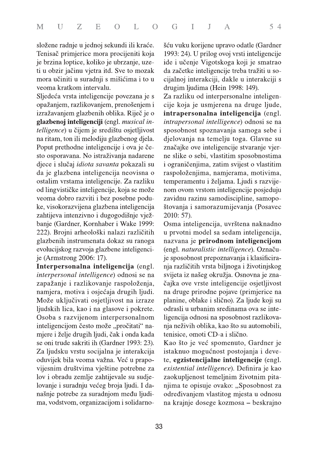složene radnje u jednoj sekundi ili kraće. Tenisač primjerice mora procijeniti koja je brzina loptice, koliko je ubrzanje, uzeti u obzir jačinu vjetra itd. Sve to mozak mora učiniti u suradnji s mišićima i to u veoma kratkom intervalu.

Sljedeća vrsta inteligencije povezana je s opažanjem, razlikovanjem, prenošenjem i izražavanjem glazbenih oblika. Riječ je o glazbenoj inteligenciji (engl. musical intelligence) u čijem je središtu osjetljivost na ritam, ton ili melodiju glazbenog djela. Poput prethodne inteligencije i ova je često osporavana. No istraživanja nadarene djece i slučaj *idiota savanta* pokazali su da je glazbena inteligencija neovisna o ostalim vrstama inteligencije. Za razliku od lingvističke inteligencije, koja se može veoma dobro razviti i bez posebne poduke, visokorazvijena glazbena inteligencija zahtijeva intenzivno i dugogodišnje vježbanje (Gardner, Kornhaber i Wake 1999: 222). Brojni arheološki nalazi različitih glazbenih instrumenata dokaz su ranoga evolucijskog razvoja glazbene inteligencije (Armstrong 2006: 17).

Interpersonalna inteligencija (engl. *interpersonal intelligence*) odnosi se na zapažanje i razlikovanje raspoloženja, namjera, motiva i osjećaja drugih ljudi. Može uključivati osjetljivost na izraze ljudskih lica, kao i na glasove i pokrete. Osoba s razvijenom interpersonalnom inteligencijom često može "pročitati" namjere i želje drugih ljudi, čak i onda kada se oni trude sakriti ih (Gardner 1993: 23). Za ljudsku vrstu socijalna je interakcija oduvijek bila veoma važna. Već u prapovijesnim društvima vještine potrebne za lov i obradu zemlje zahtijevale su sudjelovanje i suradnju većeg broja ljudi. I današnje potrebe za suradnjom među ljudima, vodstvom, organizacijom i solidarnošću vuku korijene upravo odatle (Gardner 1993: 24). U prilog ovoj vrsti inteligencije ide i učenje Vigotskoga koji je smatrao da začetke inteligencije treba tražiti u socijalnoj interakciji, dakle u interakciji s drugim ljudima (Hein 1998: 149).

Za razliku od interpersonalne inteligencije koja je usmjerena na druge ljude, intrapersonalna inteligencija (engl. intrapersonal intelligence) odnosi se na sposobnost spoznavanja samoga sebe i djelovanja na temelju toga. Glavne su značajke ove inteligencije stvaranje vjerne slike o sebi, vlastitim sposobnostima i ograničenjima, zatim svijest o vlastitim raspoloženjima, namjerama, motivima, temperamentu i željama. Ljudi s razvijenom ovom vrstom inteligencije posjeduju zavidnu razinu samodiscipline, samopoštovanja i samorazumijevanja (Posavec  $2010:57$ ).

Osma inteligencija, uvrštena naknadno u prvotni model sa sedam inteligencija, nazvana je prirodnom inteligencijom (engl. naturalistic intelligence). Označuje sposobnost prepoznavanja i klasificiranja različitih vrsta biljnoga i životinjskog svijeta iz našeg okružja. Osnovna je značajka ove vrste inteligencije osjetljivost na druge prirodne pojave (primjerice na planine, oblake i slično). Za ljude koji su odrasli u urbanim sredinama ova se inteligencija odnosi na sposobnost razlikovanja neživih oblika, kao što su automobili, tenisice, omoti CD-a i slično.

Kao što je već spomenuto, Gardner je istaknuo mogućnost postojanja i devete, egzistencijalne inteligencije (engl. existential intelligence). Definira je kao zaokupljenost temeljnim životnim pitanjima te opisuje ovako: "Sposobnost za određivanjem vlastitog mjesta u odnosu na krajnje dosege kozmosa – beskrajno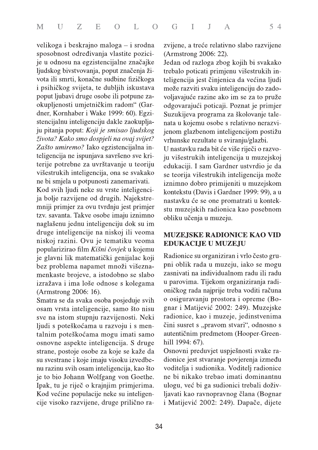velikoga i beskrajno maloga – i srodna sposobnost određivanja vlastite pozicije u odnosu na egzistencijalne značajke ljudskog bivstvovanja, poput značenja života ili smrti, konačne sudbine fizičkoga i psihičkog svijeta, te dubljih iskustava poput ljubavi druge osobe ili potpune zaokupljenosti umjetničkim radom" (Gardner, Kornhaber i Wake 1999: 60). Egzistencijalnu inteligenciju dakle zaokupljaju pitanja poput: Koji je smisao ljudskog života? Kako smo dospjeli na ovaj svijet? Zašto umiremo? Iako egzistencijalna inteligencija ne ispunjava savršeno sve kriterije potrebne za uvrštavanje u teoriju višestrukih inteligencija, ona se svakako ne bi smjela u potpunosti zanemarivati.

Kod svih ljudi neke su vrste inteligencija bolje razvijene od drugih. Najekstremniji primjer za ovu tvrdnju jest primjer tzv. savanta. Takve osobe imaju iznimno naglašenu jednu inteligenciju dok su im druge inteligencije na niskoj ili veoma niskoj razini. Ovu je tematiku veoma popularizirao film Kišni čovjek u kojemu je glavni lik matematički genijalac koji bez problema napamet množi višeznamenkaste brojeve, a istodobno se slabo izražava i ima loše odnose s kolegama (Armstrong 2006: 16).

Smatra se da svaka osoba posjeduje svih osam vrsta inteligencije, samo što nisu sve na istom stupnju razvijenosti. Neki ljudi s poteškoćama u razvoju i s mentalnim poteškoćama mogu imati samo osnovne aspekte inteligencija. S druge strane, postoje osobe za koje se kaže da su svestrane i koje imaju visoku izvedbenu razinu svih osam inteligencija, kao što je to bio Johann Wolfgang von Goethe. Ipak, tu je riječ o krajnjim primjerima. Kod većine populacije neke su inteligencije visoko razvijene, druge prilično razvijene, a treće relativno slabo razvijene (Armstrong 2006: 22).

Jedan od razloga zbog kojih bi svakako trebalo poticati primjenu višestrukih inteligencija jest činjenica da većina ljudi može razviti svaku inteligenciju do zadovoljavajuće razine ako im se za to pruže odgovarajući poticaji. Poznat je primjer Suzukijeva programa za školovanje talenata u kojemu osobe s relativno nerazvijenom glazbenom inteligencijom postižu vrhunske rezultate u sviranju/glazbi.

U nastavku rada bit će više riječi o razvoju višestrukih inteligencija u muzejskoj edukaciji. I sam Gardner ustvrdio je da se teorija višestrukih inteligencija može iznimno dobro primijeniti u muzejskom kontekstu (Davis i Gardner 1999: 99), a u nastavku će se one promatrati u kontekstu muzejskih radionica kao posebnom obliku učenja u muzeju.

## **MUZEJSKE RADIONICE KAO VID EDUKACIJE U MUZEJU**

Radionice su organiziran i vrlo često grupni oblik rada u muzeju, iako se mogu zasnivati na individualnom radu ili radu u parovima. Tijekom organiziranja radioničkog rada najprije treba voditi računa o osiguravanju prostora i opreme (Bognar i Matijević 2002: 249). Muzejske radionice, kao i muzeje, jedinstvenima čini susret s "pravom stvari", odnosno s autentičnim predmetom (Hooper-Greenhill 1994: 67).

Osnovni preduvjet uspješnosti svake radionice jest stvaranje povjerenja između voditelja i sudionika. Voditelj radionice ne bi nikako trebao imati dominantnu ulogu, već bi ga sudionici trebali doživljavati kao ravnopravnog člana (Bognar i Matijević 2002: 249). Dapače, dijete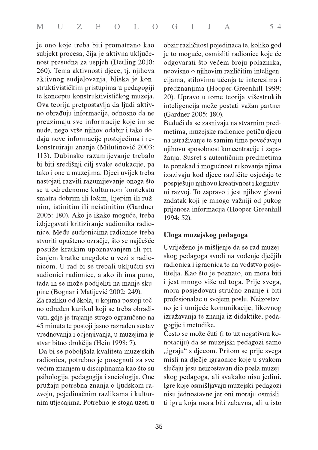je ono koje treba biti promatrano kao subjekt procesa, čija je aktivna uključenost presudna za uspjeh (Detling 2010: 260). Tema aktivnosti djece, tj. njihova aktivnog sudjelovanja, bliska je konstruktivističkim pristupima u pedagogiji te konceptu konstruktivističkog muzeja. Ova teorija pretpostavlja da ljudi aktivno obrađuju informacije, odnosno da ne preuzimaju sve informacije koje im se nude, nego vrše njihov odabir i tako dodaju nove informacije postojećima i rekonstruiraju znanje (Milutinović 2003: 113). Dubinsko razumijevanje trebalo bi biti središnji cilj svake edukacije, pa tako i one u muzejima. Djeci uvijek treba nastojati razviti razumijevanje onoga što se u određenome kulturnom kontekstu smatra dobrim ili lošim, lijepim ili ružnim, istinitim ili neistinitim (Gardner 2005: 180). Ako je ikako moguće, treba izbjegavati kritiziranje sudionika radionice. Među sudionicima radionice treba stvoriti opušteno ozračje, što se najčešće postiže kratkim upoznavanjem ili pričanjem kratke anegdote u vezi s radionicom. U rad bi se trebali uključiti svi sudionici radionice, a ako ih ima puno, tada ih se može podijeliti na manje skupine (Bognar i Matijević 2002: 249).

Za razliku od škola, u kojima postoji točno određen kurikul koji se treba obrađivati, gdje je trajanje strogo ograničeno na 45 minuta te postoji jasno razrađen sustav vrednovanja i ocjenjivanja, u muzejima je stvar bitno drukčija (Hein 1998: 7).

Da bi se poboljšala kvaliteta muzejskih radionica, potrebno je posegnuti za sve većim znanjem u disciplinama kao što su psihologija, pedagogija i sociologija. One pružaju potrebna znanja o ljudskom razvoju, pojedinačnim razlikama i kulturnim utjecajima. Potrebno je stoga uzeti u

obzir različitost pojedinaca te, koliko god je to moguće, osmisliti radionice koje će odgovarati što većem broju polaznika, neovisno o njihovim različitim inteligencijama, stilovima učenja te interesima i predznanjima (Hooper-Greenhill 1999: 20). Upravo u tome teorija višestrukih inteligencija može postati važan partner (Gardner 2005: 180).

Budući da se zasnivaju na stvarnim predmetima, muzejske radionice potiču djecu na istraživanje te samim time povećavaju njihovu sposobnost koncentracije i zapažanja. Susret s autentičnim predmetima te ponekad i mogućnost rukovanja njima izazivaju kod djece različite osjećaje te pospješuju njihovu kreativnost i kognitivni razvoj. To zapravo i jest njihov glavni zadatak koji je mnogo važniji od pukog prijenosa informacija (Hooper-Greenhill 1994: 52).

## Uloga muzejskog pedagoga

Uvriježeno je mišljenje da se rad muzejskog pedagoga svodi na vođenje dječjih radionica i igraonica te na vodstvo posjetitelja. Kao što je poznato, on mora biti i jest mnogo više od toga. Prije svega, mora posjedovati stručno znanje i biti profesionalac u svojem poslu. Neizostavno je i umijeće komunikacije, likovnog izražavanja te znanja iz didaktike, pedagogije i metodike.

Često se može čuti (i to uz negativnu konotaciju) da se muzejski pedagozi samo "igraju" s djecom. Pritom se prije svega misli na dječje igraonice koje u svakom slučaju jesu neizostavan dio posla muzejskog pedagoga, ali svakako nisu jedini. Igre koje osmišljavaju muzejski pedagozi nisu jednostavne jer oni moraju osmisliti igru koja mora biti zabavna, ali u isto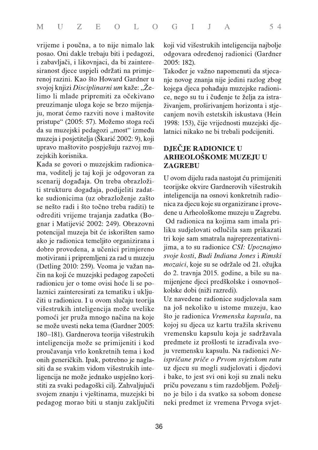vrijeme i poučna, a to nije nimalo lak posao. Oni dakle trebaju biti i pedagozi, i zabavljači, i likovnjaci, da bi zainteresiranost djece uspjeli održati na primjerenoj razini. Kao što Howard Gardner u svojoj knjizi Disciplinarni um kaže: "Želimo li mlade pripremiti za očekivano preuzimanje uloga koje se brzo mijenjaju, morat ćemo razviti nove i maštovite pristupe" (2005: 57). Možemo stoga reći da su muzejski pedagozi "most" između muzeja i posjetitelja (Škarić 2002: 9), koji upravo maštovito pospješuju razvoj muzejskih korisnika.

Kada se govori o muzejskim radionicama, voditelj je taj koji je odgovoran za scenarij događaja. On treba obrazložiti strukturu događaja, podijeliti zadatke sudionicima (uz obrazloženje zašto se nešto radi i što točno treba raditi) te odrediti vrijeme trajanja zadatka (Bognar i Matijević 2002: 249). Obrazovni potencijal muzeja bit će iskorišten samo ako je radionica temeljito organizirana i dobro provedena, a učenici primjereno motivirani i pripremljeni za rad u muzeju (Detling 2010: 259). Veoma je važan način na koji će muzejski pedagog započeti radionicu jer o tome ovisi hoće li se polaznici zainteresirati za tematiku i uključiti u radionicu. I u ovom slučaju teorija višestrukih inteligencija može uvelike pomoći jer pruža mnogo načina na koje se može uvesti neka tema (Gardner 2005: 180-181). Gardnerova teorija višestrukih inteligencija može se primijeniti i kod proučavanja vrlo konkretnih tema i kod onih generičkih. Ipak, potrebno je naglasiti da se svakim vidom višestrukih inteligencija ne može jednako uspješno koristiti za svaki pedagoški cilj. Zahvaljujući svojem znanju i vještinama, muzejski bi pedagog morao biti u stanju zaključiti koji vid višestrukih inteligencija najbolje odgovara određenoj radionici (Gardner 2005: 182).

Također je važno napomenuti da stjecanje novog znanja nije jedini razlog zbog kojega djeca pohađaju muzejske radionice, nego su tu i čuđenje te želja za istraživanjem, proširivanjem horizonta i stjecanjem novih estetskih iskustava (Hein 1998: 153), čije vrijednosti muzejski djelatnici nikako ne bi trebali podcijeniti.

## **DJEČJE RADIONICE U** ARHEOLOŠKOME MUZEJU U **ZAGREBU**

U ovom dijelu rada nastojat ću primijeniti teorijske okvire Gardnerovih višestrukih inteligencija na osnovi konkretnih radionica za djecu koje su organizirane i provedene u Arheološkome muzeju u Zagrebu. Od radionica na kojima sam imala priliku sudjelovati odlučila sam prikazati tri koje sam smatrala najreprezentativnijima, a to su radionice CSI: Upoznajmo svoje kosti, Budi Indiana Jones i Rimski mozaici, koje su se održale od 21. ožujka do 2. travnja 2015. godine, a bile su namijenjene djeci predškolske i osnovnoškolske dobi (niži razredi).

Uz navedene radionice sudjelovala sam na još nekoliko u istome muzeju, kao što je radionica Vremenska kapsula, na kojoj su djeca uz kartu tražila skrivenu vremensku kapsulu koja je sadržavala predmete iz prošlosti te izrađivala svoju vremensku kapsulu. Na radionici Neispričane priče o Prvom svjetskom ratu uz djecu su mogli sudjelovati i djedovi i bake, to jest svi oni koji su znali neku priču povezanu s tim razdobljem. Poželjno je bilo i da svatko sa sobom donese neki predmet iz vremena Prvoga svjet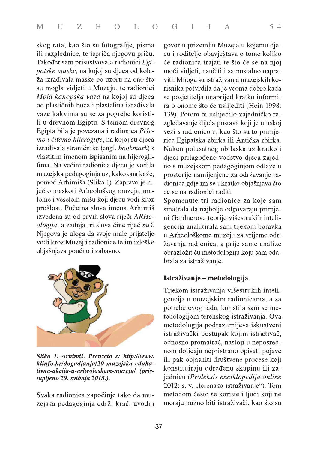skog rata, kao što su fotografije, pisma ili razglednice, te ispriča njegovu priču. Također sam prisustvovala radionici Egi*patske maske*, na kojoj su djeca od kolaža izrađivala maske po uzoru na ono što su mogla vidjeti u Muzeju, te radionici Moja kanopska vaza na kojoj su djeca od plastičnih boca i plastelina izrađivala vaze kakvima su se za pogrebe koristili u drevnom Egiptu. S temom drevnog Egipta bila je povezana i radionica Pišemo i čitamo hijeroglife, na kojoj su djeca izrađivala straničnike (engl. bookmark) s vlastitim imenom ispisanim na hijeroglifima. Na većini radionica djecu je vodila muzejska pedagoginja uz, kako ona kaže, pomoć Arhimiša (Slika 1). Zapravo je riječ o maskoti Arheološkog muzeja, malome i veselom mišu koji djecu vodi kroz prošlost. Početna slova imena Arhimiš izvedena su od prvih slova riječi ARHeologija, a zadnja tri slova čine riječ miš. Njegova je uloga da svoje male prijatelje vodi kroz Muzej i radionice te im izloške objašnjava poučno i zabavno.



Slika 1. Arhimiš. Preuzeto s: http://www. klinfo.hr/dogadjanja/20-muzejska-edukativna-akcija-u-arheoloskom-muzeju/ (pristupljeno 29. svibnja 2015.).

Svaka radionica započinje tako da muzejska pedagoginja održi kraći uvodni govor u prizemlju Muzeja u kojemu djecu i roditelje obavještava o tome koliko će radionica trajati te što će se na njoj moći vidjeti, naučiti i samostalno napraviti. Mnoga su istraživanja muzejskih korisnika potvrdila da je veoma dobro kada se posjetitelja unaprijed kratko informira o onome što će uslijediti (Hein 1998: 139). Potom bi uslijedilo zajedničko razgledavanje dijela postava koji je u uskoj vezi s radionicom, kao što su to primjerice Egipatska zbirka ili Antička zbirka. Nakon polusatnog obilaska uz kratko i djeci prilagođeno vodstvo djeca zajedno s muzejskom pedagoginjom odlaze u prostorije namijenjene za održavanje radionica gdje im se ukratko objašnjava što će se na radionici raditi.

Spomenute tri radionice za koje sam smatrala da najbolje odgovaraju primjeni Gardnerove teorije višestrukih inteligencija analizirala sam tijekom boravka u Arheološkome muzeju za vrijeme održavanja radionica, a prije same analize obrazložit ću metodologiju koju sam odabrala za istraživanje.

## Istraživanje – metodologija

Tijekom istraživanja višestrukih inteligencija u muzejskim radionicama, a za potrebe ovog rada, koristila sam se metodologijom terenskog istraživanja. Ova metodologija podrazumijeva iskustveni istraživački postupak kojim istraživač, odnosno promatrač, nastoji u neposrednom doticaju nepristrano opisati pojave ili pak objasniti društvene procese koji konstituiraju određenu skupinu ili zajednicu (Proleksis enciklopedija online 2012: s. v. "terensko istraživanje"). Tom metodom često se koriste i ljudi koji ne moraju nužno biti istraživači, kao što su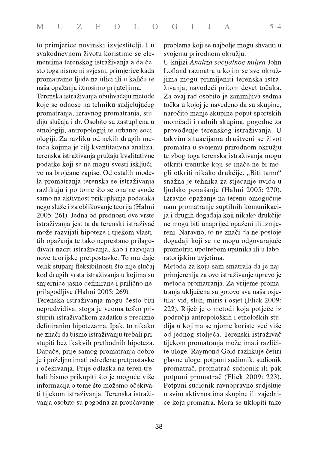to primjerice novinski izvjestitelji. I u svakodnevnom životu koristimo se elementima terenskog istraživanja a da često toga nismo ni svjesni, primjerice kada promatramo ljude na ulici ili u kafiću te naša opažanja iznosimo prijateljima.

Terenska istraživanja obuhvaćaju metode koje se odnose na tehniku sudjelujućeg promatranja, izravnog promatranja, studiju slučaja i dr. Osobito su zastupljena u etnologiji, antropologiji te urbanoj sociologiji. Za razliku od nekih drugih metoda kojima je cilj kvantitativna analiza, terenska istraživanja pružaju kvalitativne podatke koji se ne mogu svesti isključivo na brojčane zapise. Od ostalih modela promatranja terenska se istraživanja razlikuju i po tome što se ona ne svode samo na aktivnost prikupljanja podataka nego služe i za oblikovanje teorija (Halmi 2005: 261). Jedna od prednosti ove vrste istraživanja jest ta da terenski istraživač može razvijati hipoteze i tijekom vlastitih opažanja te tako neprestano prilagođivati nacrt istraživanja, kao i razvijati nove teorijske pretpostavke. To mu daje velik stupanj fleksibilnosti što nije slučaj kod drugih vrsta istraživanja u kojima su smjernice jasno definirane i prilično neprilagodljive (Halmi 2005: 269).

Terenska istraživanja mogu često biti nepredvidiva, stoga je veoma teško pristupiti istraživačkom zadatku s precizno definiranim hipotezama. Ipak, to nikako ne znači da bismo istraživanju trebali pristupiti bez ikakvih prethodnih hipoteza. Dapače, prije samog promatranja dobro je i poželjno imati određene pretpostavke i očekivanja. Prije odlaska na teren trebali bismo prikupiti što je moguće više informacija o tome što možemo očekivati tijekom istraživanja. Terenska istraživanja osobito su pogodna za proučavanje problema koji se najbolje mogu shvatiti u svojemu prirodnom okružju.

U knjizi Analiza socijalnog miljea John Lofland razmatra u kojim se sve okružjima mogu primijeniti terenska istraživanja, navodeći pritom devet točaka. Za ovaj rad osobito je zanimljiva sedma točka u kojoj je navedeno da su skupine, naročito manje skupine poput sportskih momčadi i radnih skupina, pogodne za provođenje terenskog istraživanja. U takvim situacijama društveni se život promatra u svojemu prirodnom okružju te zbog toga terenska istraživanja mogu otkriti trenutke koji se inače ne bi mogli otkriti nikako drukčije. "Biti tamo" snažna je tehnika za stjecanje uvida u ljudsko ponašanje (Halmi 2005: 270). Izravno opažanje na terenu omogućuje nam promatranje suptilnih komunikacija i drugih događaja koji nikako drukčije ne mogu biti unaprijed opaženi ili izmjereni. Naravno, to ne znači da ne postoje događaji koji se ne mogu odgovarajuće promotriti upotrebom upitnika ili u laboratorijskim uvjetima.

Metoda za koju sam smatrala da je najprimjerenija za ovo istraživanje upravo je metoda promatranja. Za vrijeme promatranja uključena su gotovo sva naša osjetila: vid, sluh, miris i osjet (Flick 2009: 222). Riječ je o metodi koja potječe iz područja antropoloških i etnoloških studija u kojima se njome koriste već više od jednog stoljeća. Terenski istraživač tijekom promatranja može imati različite uloge. Raymond Gold razlikuje četiri glavne uloge: potpuni sudionik, sudionik promatrač, promatrač sudionik ili pak potpuni promatrač (Flick 2009: 223). Potpuni sudionik ravnopravno sudjeluje u svim aktivnostima skupine ili zajednice koju promatra. Mora se uklopiti tako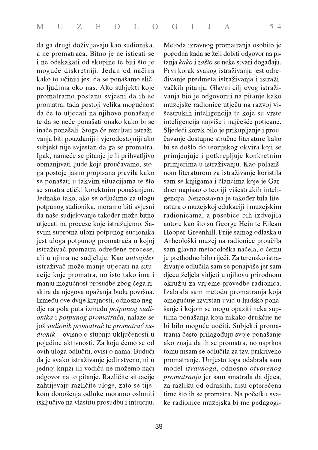da ga drugi doživljavaju kao sudionika, a ne promatrača. Bitno je ne isticati se i ne odskakati od skupine te biti što je moguće diskretniji. Jedan od načina kako to učiniti jest da se ponašamo slično ljudima oko nas. Ako subjekti koje promatramo postanu svjesni da ih se promatra, tada postoji velika mogućnost da će to utjecati na njihovo ponašanje te da se neće ponašati onako kako bi se inače ponašali. Stoga će rezultati istraživanja biti pouzdaniji i vjerodostojniji ako subjekt nije svjestan da ga se promatra. Ipak, nameće se pitanje je li prihvatljivo obmanjivati ljude koje proučavamo, stoga postoje jasno propisana pravila kako se ponašati u takvim situacijama te što se smatra etički korektnim ponašanjem. Jednako tako, ako se odlučimo za ulogu potpunog sudionika, moramo biti svjesni da naše sudjelovanje također može bitno utjecati na procese koje istražujemo. Sasvim suprotna ulozi potpunog sudionika jest uloga potpunog promatrača u kojoj istraživač promatra određene procese, ali u njima ne sudjeluje. Kao autsajder istraživač može manje utjecati na situacije koje promatra, no isto tako ima i manju mogućnost prosudbe zbog čega riskira da njegova opažanja budu površna. Između ove dvije krajnosti, odnosno negdje na pola puta između potpunog sudionika i potpunog promatrača, nalaze se još sudionik promatrač te promatrač su*dionik* – ovisno o stupnju uključenosti u pojedine aktivnosti. Za koju ćemo se od ovih uloga odlučiti, ovisi o nama. Budući da je svako istraživanje jedinstveno, ni u jednoj knjizi ili vodiču ne možemo naći odgovor na to pitanje. Različite situacije zahtijevaju različite uloge, zato se tijekom donošenja odluke moramo osloniti isključivo na vlastitu prosudbu i intuiciju.

Metoda izravnog promatranja osobito je pogodna kada se želi dobiti odgovor na pitanja kako i zašto se neke stvari događaju. Prvi korak svakog istraživanja jest određivanje predmeta istraživanja i istraživačkih pitanja. Glavni cilj ovog istraživanja bio je odgovoriti na pitanje kako muzejske radionice utječu na razvoj višestrukih inteligencija te koje su vrste inteligencija najviše i najčešće poticane. Sljedeći korak bilo je prikupljanje i proučavanje dostupne stručne literature kako bi se došlo do teorijskog okvira koji se primjenjuje i potkrepljuje konkretnim primjerima u istraživanju. Kao polazišnom literaturom za istraživanje koristila sam se knjigama i člancima koje je Gardner napisao o teoriji višestrukih inteligencija. Neizostavna je također bila literatura o muzejskoj edukaciji i muzejskim radionicama, a posebice bih izdvojila autore kao što su George Hein te Eilean Hooper-Greenhill. Prije samog odlaska u Arheološki muzej na radionice proučila sam glavna metodološka načela, o čemu je prethodno bilo riječi. Za terensko istraživanje odlučila sam se ponajviše jer sam djecu željela vidjeti u njihovu prirodnom okružju za vrijeme provedbe radionica. Izabrala sam metodu promatranja koja omogućuje izvrstan uvid u ljudsko ponašanje i kojom se mogu opaziti neka suptilna ponašanja koja nikako drukčije ne bi bilo moguće uočiti. Subjekti promatranja često prilagođuju svoje ponašanje ako znaju da ih se promatra, no usprkos tomu nisam se odlučila za tzv. prikriveno promatranje. Umjesto toga odabrala sam model izravnoga, odnosno otvorenog *promatranja* jer sam smatrala da djeca, za razliku od odraslih, nisu opterećena time što ih se promatra. Na početku svake radionice muzejska bi me pedagogi-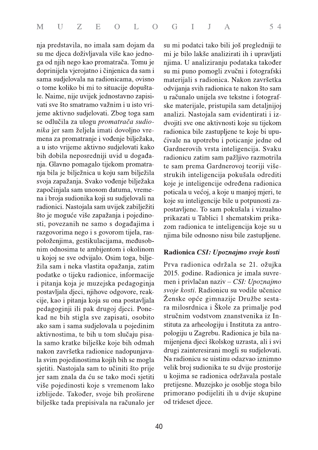nja predstavila, no imala sam dojam da su me djeca doživljavala više kao jednoga od njih nego kao promatrača. Tomu je doprinijela vjerojatno i činjenica da sam i sama sudjelovala na radionicama, ovisno o tome koliko bi mi to situacije dopuštale. Naime, nije uvijek jednostavno zapisivati sve što smatramo važnim i u isto vrijeme aktivno sudjelovati. Zbog toga sam se odlučila za ulogu promatrača sudionika jer sam željela imati dovoljno vremena za promatranje i vođenje bilježaka, a u isto vrijeme aktivno sudjelovati kako bih dobila neposredniji uvid u događanja. Glavno pomagalo tijekom promatranja bila je bilježnica u koju sam bilježila svoja zapažanja. Svako vođenje bilježaka započinjala sam unosom datuma, vremena i broja sudionika koji su sudjelovali na radionici. Nastojala sam uvijek zabilježiti što je moguće više zapažanja i pojedinosti, povezanih ne samo s događajima i razgovorima nego i s govorom tijela, raspoloženjima, gestikulacijama, međusobnim odnosima te ambijentom i okolinom u kojoj se sve odvijalo. Osim toga, bilježila sam i neka vlastita opažanja, zatim podatke o tijeku radionice, informacije i pitanja koja je muzejska pedagoginja postavljala djeci, njihove odgovore, reakcije, kao i pitanja koja su ona postavljala pedagoginji ili pak drugoj djeci. Ponekad ne bih stigla sve zapisati, osobito ako sam i sama sudjelovala u pojedinim aktivnostima, te bih u tom slučaju pisala samo kratke bilješke koje bih odmah nakon završetka radionice nadopunjavala svim pojedinostima kojih bih se mogla sjetiti. Nastojala sam to učiniti što prije jer sam znala da ću se tako moći sjetiti više pojedinosti koje s vremenom lako izblijede. Također, svoje bih proširene bilješke tada prepisivala na računalo jer su mi podatci tako bili još pregledniji te mi je bilo lakše analizirati ih i upravljati njima. U analiziranju podataka također su mi puno pomogli zvučni i fotografski materijali s radionica. Nakon završetka odvijanja svih radionica te nakon što sam u računalo unijela sve tekstne i fotografske materijale, pristupila sam detaljnijoj analizi. Nastojala sam evidentirati i izdvojiti sve one aktivnosti koje su tijekom radionica bile zastupljene te koje bi upućivale na upotrebu i poticanje jedne od Gardnerovih vrsta inteligencija. Svaku radionicu zatim sam pažljivo razmotrila te sam prema Gardnerovoj teoriji višestrukih inteligencija pokušala odrediti koje je inteligencije određena radionica poticala u većoj, a koje u manjoj mjeri, te koje su inteligencije bile u potpunosti zapostavljene. To sam pokušala i vizualno prikazati u Tablici 1 shematskim prikazom radionica te inteligencija koje su u njima bile odnosno nisu bile zastupljene.

#### Radionica CSI: Upoznajmo svoje kosti

Prva radionica održala se 21. ožujka 2015. godine. Radionica je imala suvremen i privlačan naziv – CSI: Upoznajmo svoje kosti. Radionicu su vodile učenice Ženske opće gimnazije Družbe sestara milosrdnica i Škole za primalje pod stručnim vodstvom znanstvenika iz Instituta za arheologiju i Instituta za antropologiju u Zagrebu. Radionica je bila namijenjena djeci školskog uzrasta, ali i svi drugi zainteresirani mogli su sudjelovati. Na radionicu se uistinu odazvao iznimno velik broj sudionika te su dvije prostorije u kojima se radionica održavala postale pretijesne. Muzejsko je osoblje stoga bilo primorano podijeliti ih u dvije skupine od trideset diece.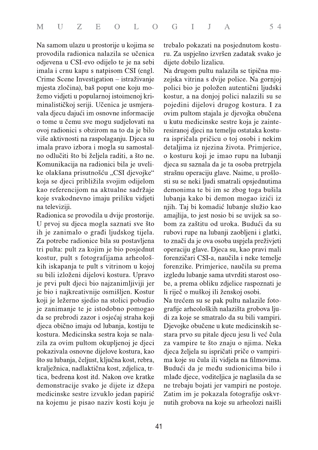Na samom ulazu u prostorije u kojima se provodila radionica nalazila se učenica odjevena u CSI-evo odijelo te je na sebi imala i crnu kapu s natpisom CSI (engl. Crime Scene Investigation – istraživanje mjesta zločina), baš poput one koju možemo vidjeti u popularnoj istoimenoj kriminalističkoj seriji. Učenica je usmjeravala djecu dajući im osnovne informacije o tome u čemu sve mogu sudjelovati na ovoj radionici s obzirom na to da je bilo više aktivnosti na raspolaganju. Djeca su imala pravo izbora i mogla su samostalno odlučiti što bi željela raditi, a što ne. Komunikacija na radionici bila je uvelike olakšana prisutnošću "CSI djevojke" koja se djeci približila svojim odijelom kao referencijom na aktualne sadržaje koje svakodnevno imaju priliku vidjeti na televiziji.

Radionica se provodila u dvije prostorije. U prvoj su djeca mogla saznati sve što ih je zanimalo o građi ljudskog tijela. Za potrebe radionice bila su postavljena tri pulta: pult za kojim je bio posjednut kostur, pult s fotografijama arheoloških iskapanja te pult s vitrinom u kojoj su bili izloženi dijelovi kostura. Upravo je prvi pult djeci bio najzanimljiviji jer je bio i najkreativnije osmišljen. Kostur koji je ležerno sjedio na stolici pobudio je zanimanje te je istodobno pomogao da se prebrodi zazor i osjećaj straha koji djeca obično imaju od lubanja, kostiju te kostura. Medicinska sestra koja se nalazila za ovim pultom okupljenoj je djeci pokazivala osnovne dijelove kostura, kao što su lubanja, čeljust, ključna kost, rebra, kralježnica, nadlaktična kost, zdjelica, trtica, bedrena kost itd. Nakon ove kratke demonstracije svako je dijete iz džepa medicinske sestre izvuklo jedan papirić na kojemu je pisao naziv kosti koju je trebalo pokazati na posjednutom kosturu. Za uspješno izvršen zadatak svako je dijete dobilo lizalicu.

Na drugom pultu nalazila se tipična muzejska vitrina s dvije police. Na gornjoj polici bio je položen autentični ljudski kostur, a na donjoj polici nalazili su se pojedini dijelovi drugog kostura. I za ovim pultom stajala je djevojka obučena u kutu medicinske sestre koja je zainteresiranoj djeci na temelju ostataka kostura ispričala pričicu o toj osobi i nekim detaljima iz njezina života. Primjerice, o kosturu koji je imao rupu na lubanji dieca su saznala da je ta osoba pretrpjela strašnu operaciju glave. Naime, u prošlosti su se neki ljudi smatrali opsjednutima demonima te bi im se zbog toga bušila lubanja kako bi demon mogao izići iz njih. Taj bi komadić lubanje služio kao amajlija, to jest nosio bi se uvijek sa sobom za zaštitu od uroka. Budući da su rubovi rupe na lubanji zaobljeni i glatki, to znači da je ova osoba uspjela preživjeti operaciju glave. Djeca su, kao pravi mali forenzičari CSI-a, naučila i neke temelje forenzike. Primjerice, naučila su prema izgledu lubanje sama utvrditi starost osobe, a prema obliku zdjelice raspoznati je li riječ o muškoj ili ženskoj osobi. Na trećem su se pak pultu nalazile fotografije arheoloških nalazišta grobova ljudi za koje se smatralo da su bili vampiri. Djevojke obučene u kute medicinskih sestara prvo su pitale djecu jesu li već čula za vampire te što znaju o njima. Neka djeca željela su ispričati priče o vampirima koje su čula ili vidjela na filmovima. Budući da je među sudionicima bilo i mlade diece, voditeliica je naglasila da se ne trebaju bojati jer vampiri ne postoje. Zatim im je pokazala fotografije oskvrnutih grobova na koje su arheolozi naišli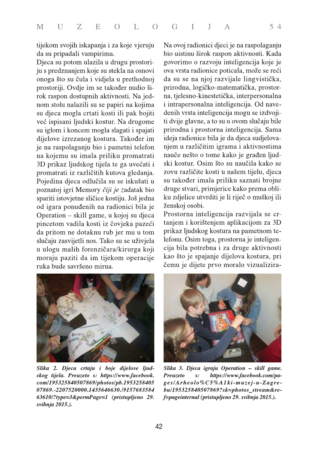tijekom svojih iskapanja i za koje vjeruju da su pripadali vampirima.

Djeca su potom ulazila u drugu prostoriju s predznanjem koje su stekla na osnovi onoga što su čula i vidjela u prethodnoj prostoriji. Ovdje im se također nudio širok raspon dostupnih aktivnosti. Na jednom stolu nalazili su se papiri na kojima su djeca mogla crtati kosti ili pak bojiti već ispisani ljudski kostur. Na drugome su iglom i koncem mogla slagati i spajati dijelove izrezanog kostura. Također im je na raspolaganju bio i pametni telefon na kojemu su imala priliku promatrati 3D prikaz ljudskog tijela te ga uvećati i promatrati iz različitih kutova gledanja. Pojedina djeca odlučila su se iskušati u poznatoj igri Memory čiji je zadatak bio spariti istovjetne sličice kostiju. Još jedna od igara ponuđenih na radionici bila je Operation - skill game, u kojoj su djeca pincetom vadila kosti iz čovjeka pazeći da pritom ne dotaknu rub jer mu u tom slučaju zasvijetli nos. Tako su se uživjela u ulogu malih forenzičara/kirurga koji moraju paziti da im tijekom operacije ruka bude savršeno mirna.

Na ovoj radionici djeci je na raspolaganju bio uistinu širok raspon aktivnosti. Kada govorimo o razvoju inteligencija koje je ova vrsta radionice poticala, može se reći da su se na njoj razvijale lingvistička, prirodna, logičko-matematička, prostorna, tjelesno-kinestetička, interpersonalna i intrapersonalna inteligencija. Od navedenih vrsta inteligencija mogu se izdvojiti dvije glavne, a to su u ovom slučaju bile prirodna i prostorna inteligencija. Sama ideja radionice bila je da djeca sudjelovanjem u različitim igrama i aktivnostima nauče nešto o tome kako je građen ljudski kostur. Osim što su naučila kako se zovu različite kosti u našem tijelu, djeca su također imala priliku saznati brojne druge stvari, primjerice kako prema obliku zdjelice utvrditi je li riječ o muškoj ili ženskoj osobi.

Prostorna inteligencija razvijala se crtanjem i korištenjem aplikacijom za 3D prikaz ljudskog kostura na pametnom telefonu. Osim toga, prostorna je inteligencija bila potrebna i za druge aktivnosti kao što je spajanje dijelova kostura, pri čemu je dijete prvo moralo vizualizira-



Slika 2. Djeca crtaju i boje dijelove ljudskog tijela. Preuzeto s: https://www.facebook. com/195325840507869/photos/pb.1953258405 07869.-2207520000.1435646630./9157683584 63610/?type=3&permPage=1 (pristupljeno 29. svibnja 2015.).



Slika 3. Djeca igraju Operation - skill game. **Preuzeto** https://www.facebook.com/pa $s$ : ges/Arheolo%C5%A1ki-muzej-u-Zagrebu/195325840507869?sk=photos stream&ref=pageinternal (pristupljeno 29. svibnja 2015.).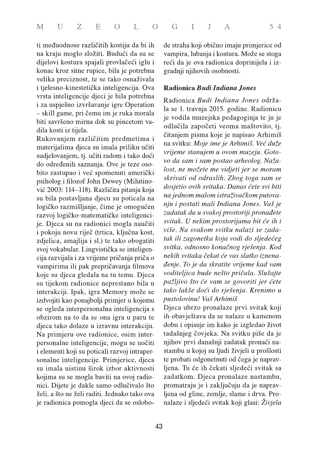ti međuodnose različitih kostiju da bi ih na kraju moglo složiti. Budući da su se dijelovi kostura spajali provlačeći iglu i konac kroz sitne rupice, bila je potrebna velika preciznost, te se tako osnaživala i tjelesno-kinestetička inteligencija. Ova vrsta inteligencije djeci je bila potrebna i za uspješno izvršavanje igre Operation - skill game, pri čemu im je ruka morala biti savršeno mirna dok su pincetom vadila kosti iz tijela.

Rukovanjem različitim predmetima i materijalima djeca su imala priliku učiti sudjelovanjem, tj. učiti radom i tako doći do određenih saznanja. Ove je teze osobito zastupao i već spomenuti američki psiholog i filozof John Dewey (Milutinović 2003: 114–118). Različita pitanja koja su bila postavljana djecu su poticala na logičko razmišljanje, čime je omogućen razvoj logičko-matematičke inteligencije. Djeca su na radionici mogla naučiti i pokoju novu riječ (trtica, ključna kost, zdjelica, amajlija i sl.) te tako obogatiti svoj vokabular. Lingvistička se inteligencija razvijala i za vrijeme pričanja priča o vampirima ili pak prepričavanja filmova koje su djeca gledala na tu temu. Djeca su tijekom radionice neprestano bila u interakciji. Ipak, igra Memory može se izdvojiti kao ponajbolji primjer u kojemu se ogleda interpersonalna inteligencija s obzirom na to da se ona igra u paru te djeca tako dolaze u izravnu interakciju. Na primjeru ove radionice, osim interpersonalne inteligencije, mogu se uočiti i elementi koji su poticali razvoj intrapersonalne inteligencije. Primjerice, djeca su imala uistinu širok izbor aktivnosti kojima su se mogla baviti na ovoj radionici. Dijete je dakle samo odlučivalo što želi, a što ne želi raditi. Jednako tako ova je radionica pomogla djeci da se oslobode straha koji obično imaju primjerice od vampira, lubanja i kostura. Može se stoga reći da je ova radionica doprinijela i izgradnji njihovih osobnosti.

## Radionica Budi Indiana Jones

Radionica Budi Indiana Jones održala se 1. travnja 2015. godine. Radionicu je vodila muzejska pedagoginja te ju je odlučila započeti veoma maštovito, tj. čitanjem pisma koje je napisao Arhimiš na svitku: Moje ime je Arhimiš. Već duže vrijeme stanujem u ovom muzeju. Gotovo da sam i sam postao arheolog. Nažalost, ne možete me vidjeti jer se moram skrivati od odraslih. Zbog toga sam se dosjetio ovih svitaka. Danas ćete svi biti na jednom malom istraživačkom putovanju i postati mali Indiana Jones. Vaš je zadatak da u svakoj prostoriji pronađete svitak. U nekim prostorijama bit će ih i više. Na svakom svitku nalazi se zadatak ili zagonetka koja vodi do sljedećeg svitka, odnosno konačnog rješenja. Kod nekih svitaka čekat će vas slatko iznenađenje. To je da skratite vrijeme kad vam voditeljica bude nešto pričala. Slušajte pažljivo što će vam se govoriti jer ćete tako lakše doći do rješenja. Krenimo u pustolovinu! Vaš Arhimiš

Djeca ubrzo pronalaze prvi svitak koji ih obavještava da se nalaze u kamenom dobu i opisuje im kako je izgledao život tadašnjeg čovjeka. Na svitku piše da je njihov prvi današnji zadatak pronaći nastambu u kojoj su ljudi živjeli u prošlosti te probati odgonetnuti od čega je napravljena. Tu će ih čekati sljedeći svitak sa zadatkom. Djeca pronalaze nastambu, promatraju je i zaključuju da je napravljena od gline, zemlje, slame i drva. Pronalaze i sljedeći svitak koji glasi: Živjela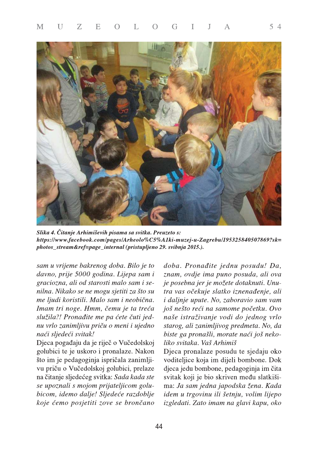

Slika 4. Čitanje Arhimiševih pisama sa svitka. Preuzeto s: https://www.facebook.com/pages/Arheolo%C5%A1ki-muzej-u-Zagrebu/195325840507869?sk= photos\_stream&ref=page\_internal (pristupljeno 29. svibnja 2015.).

sam u vrijeme bakrenog doba. Bilo je to davno, prije 5000 godina. Lijepa sam i graciozna, ali od starosti malo sam i senilna. Nikako se ne mogu sjetiti za što su me ljudi koristili. Malo sam i neobična. Imam tri noge. Hmm, čemu je ta treća služila?! Pronađite me pa ćete čuti jednu vrlo zanimljivu priču o meni i ujedno naći sljedeći svitak!

Djeca pogađaju da je riječ o Vučedolskoj golubici te je uskoro i pronalaze. Nakon što im je pedagoginja ispričala zanimljivu priču o Vučedolskoj golubici, prelaze na čitanje sljedećeg svitka: Sada kada ste se upoznali s mojom prijateljicom golubicom, idemo dalje! Sljedeće razdoblje koje ćemo posjetiti zove se brončano doba. Pronađite jednu posudu! Da, znam, ovdje ima puno posuda, ali ova je posebna jer je možete dotaknuti. Unutra vas očekuje slatko iznenađenje, ali i daljnje upute. No, zaboravio sam vam još nešto reći na samome početku. Ovo naše istraživanje vodi do jednog vrlo starog, ali zanimljivog predmeta. No, da biste ga pronašli, morate naći još nekoliko svitaka. Vaš Arhimiš

Djeca pronalaze posudu te sjedaju oko voditeljice koja im dijeli bombone. Dok djeca jedu bombone, pedagoginja im čita svitak koji je bio skriven među slatkišima: Ja sam jedna japodska žena. Kada idem u trgovinu ili šetnju, volim lijepo izgledati. Zato imam na glavi kapu, oko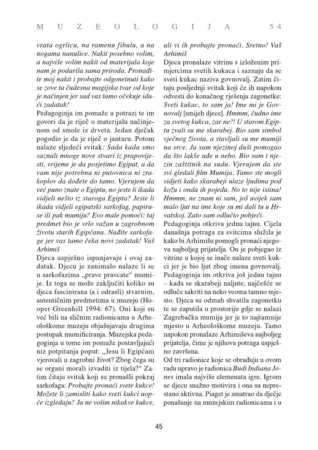vrata ogrlicu, na ramenu fibulu, a na nogama nanulice. Nakit posebno volim, a najviše volim nakit od materijala koje nam je podarila sama priroda. Pronađite moj nakit i probajte odgonetnuti kako se zove ta čudesna magijska tvar od koje je načinjen jer sad vas tamo očekuje idući zadatak!

Pedagoginja im pomaže u potrazi te im govori da je riječ o materijalu načinjenom od smole iz drveta. Jedan dječak pogodio je da je riječ o jantaru. Potom nalaze sljedeći svitak: Sada kada smo saznali mnoge nove stvari iz prapovijesti, vrijeme je da posjetimo Egipat, a da vam nije potrebna ni putovnica ni zrakoplov da dođete do tamo. Vjerujem da već puno znate o Egiptu, no jeste li ikada vidjeli nešto iz staroga Egipta? Jeste li ikada vidjeli egipatski sarkofag, papiruse ili pak mumiju? Evo male pomoći: taj predmet bio je vrlo važan u zagrobnom životu starih Egipćana. Nađite sarkofage jer vas tamo čeka novi zadatak! Vaš Arhimiš

Djeca uspješno ispunjavaju i ovaj zadatak. Djecu je zanimalo nalaze li se u sarkofazima "prave pravcate" mumije. Iz toga se može zaključiti koliko su djeca fascinirana (a i odrasli) stvarnim, autentičnim predmetima u muzeju (Hooper-Greenhill 1994: 67). Oni koji su već bili na sličnim radionicama u Arheološkome muzeju objašnjavaju drugima postupak mumificiranja. Muzejska pedagoginja u tome im pomaže postavljajući niz potpitanja poput: "Jesu li Egipćani vjerovali u zagrobni život? Zbog čega su se organi morali izvaditi iz tijela?" Zatim čitaju svitak koji su pronašli pokraj sarkofaga: Probajte pronaći svete kukce! Možete li zamisliti kako sveti kukci uopće izgledaju? Ja ne volim nikakve kukce,

## ali vi ih probajte pronaći. Sretno! Vaš Arhimiš

Djeca pronalaze vitrinu s izloženim primjercima svetih kukaca i saznaju da se sveti kukac naziva govnovalj. Zatim čitaju posljednji svitak koji će ih napokon odvesti do konačnog rješenja zagonetke: Sveti kukac, to sam ja! Ime mi je Govnovalj [smijeh djece]. Hmmm, čudno ime za svetog kukca, zar ne?! U starom Egiptu zvali su me skarabej. Bio sam simbol vječnog života, a stavljali su me mumiji na srce. Ja sam njezinoj duši pomogao da što lakše uđe u nebo. Bio sam i njezin zaštitnik na sudu. Vjerujem da ste svi gledali film Mumija. Tamo ste mogli vidjeti kako skarabeji ulaze ljudima pod kožu i onda ih pojedu. No to nije istina! Hmmm, ne znam ni sam, još uvijek sam malo ljut na ime koje su mi dali tu u Hrvatskoj. Zato sam odlučio pobjeći.

Pedagoginja otkriva jednu tajnu. Cijela današnja potraga za svitcima služila je kako bi Arhimišu pomogli pronaći njegova najboljeg prijatelja. On je pobjegao iz vitrine u kojoj se inače nalaze sveti kukci jer je bio ljut zbog imena govnovalj. Pedagoginja im otkriva još jednu tajnu - kada se skarabeji naljute, najčešće se odluče sakriti na neko veoma tamno mjesto. Djeca su odmah shvatila zagonetku te se zaputila u prostoriju gdje se nalazi Zagrebačka mumija jer je to najtamnije mjesto u Arheološkome muzeju. Tamo napokon pronalaze Arhimiševa najboljeg prijatelja, čime je njihova potraga uspješno završena.

Od tri radionice koje se obrađuju u ovom radu upravo je radionica Budi Indiana Jones imala najviše elemenata igre. Igrom se djecu snažno motivira i ona su neprestano aktivna. Piaget je smatrao da dječje ponašanje na muzejskim radionicama i u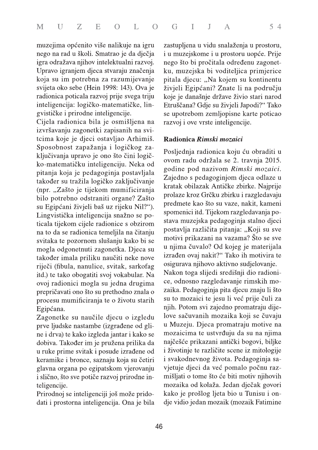|  |  |  |  |  |  |  |  | M U Z E O L O G I J A |  |  |  | $5\,4$ |  |  |
|--|--|--|--|--|--|--|--|-----------------------|--|--|--|--------|--|--|
|--|--|--|--|--|--|--|--|-----------------------|--|--|--|--------|--|--|

muzejima općenito više nalikuje na igru nego na rad u školi. Smatrao je da dječja igra odražava njihov intelektualni razvoj. Upravo igranjem djeca stvaraju značenja koja su im potrebna za razumijevanje svijeta oko sebe (Hein 1998: 143). Ova je radionica poticala razvoj prije svega triju inteligencija: logičko-matematičke, lingvističke i prirodne inteligencije.

Cijela radionica bila je osmišljena na izvršavanju zagonetki zapisanih na svitcima koje je djeci ostavljao Arhimiš. Sposobnost zapažanja i logičkog zaključivanja upravo je ono što čini logičko-matematičku inteligenciju. Neka od pitanja koja je pedagoginja postavljala također su tražila logičko zaključivanje (npr. "Zašto je tijekom mumificiranja bilo potrebno odstraniti organe? Zašto su Egipćani živjeli baš uz rijeku Nil?"). Lingvistička inteligencija snažno se poticala tijekom cijele radionice s obzirom na to da se radionica temeljila na čitanju svitaka te pozornom slušanju kako bi se mogla odgonetnuti zagonetka. Djeca su također imala priliku naučiti neke nove riječi (fibula, nanulice, svitak, sarkofag itd.) te tako obogatiti svoj vokabular. Na ovoj radionici mogla su jedna drugima prepričavati ono što su prethodno znala o procesu mumificiranja te o životu starih Egipćana.

Zagonetke su naučile djecu o izgledu prve ljudske nastambe (izgrađene od gline i drva) te kako izgleda jantar i kako se dobiva. Također im je pružena prilika da u ruke prime svitak i posude izrađene od keramike i bronce, saznaju koja su četiri glavna organa po egipatskom vjerovanju i slično, što sve potiče razvoj prirodne inteligencije.

Prirodnoj se inteligenciji još može pridodati i prostorna inteligencija. Ona je bila zastupljena u vidu snalaženja u prostoru, i u muzejskome i u prostoru uopće. Prije nego što bi pročitala određenu zagonetku, muzejska bi voditeljica primjerice pitala djecu: "Na kojem su kontinentu živjeli Egipćani? Znate li na području koje je današnje države živio stari narod Etruščana? Gdje su živjeli Japodi?" Tako se upotrebom zemljopisne karte poticao razvoj i ove vrste inteligencije.

### Radionica Rimski mozaici

Posljednja radionica koju ću obraditi u ovom radu održala se 2. travnja 2015. godine pod nazivom Rimski mozaici. Zajedno s pedagoginjom djeca odlaze u kratak obilazak Antičke zbirke. Najprije prolaze kroz Grčku zbirku i razgledavaju predmete kao što su vaze, nakit, kameni spomenici itd. Tijekom razgledavanja postava muzejska pedagoginja stalno djeci postavlja različita pitanja: "Koji su sve motivi prikazani na vazama? Što se sve u njima čuvalo? Od kojeg je materijala izrađen ovaj nakit?" Tako ih motivira te osigurava njihovo aktivno sudjelovanje. Nakon toga slijedi središnji dio radionice, odnosno razgledavanje rimskih mozaika. Pedagoginja pita djecu znaju li što su to mozaici te jesu li već prije čuli za njih. Potom svi zajedno promatraju dijelove sačuvanih mozaika koji se čuvaju u Muzeju. Djeca promatraju motive na mozaicima te ustvrđuju da su na njima najčešće prikazani antički bogovi, biljke i životinje te različite scene iz mitologije i svakodnevnog života. Pedagoginja savjetuje djeci da već pomalo počnu razmišljati o tome što će biti motiv njihovih mozaika od kolaža. Jedan dječak govori kako je prošlog ljeta bio u Tunisu i ondje vidio jedan mozaik (mozaik Fatimine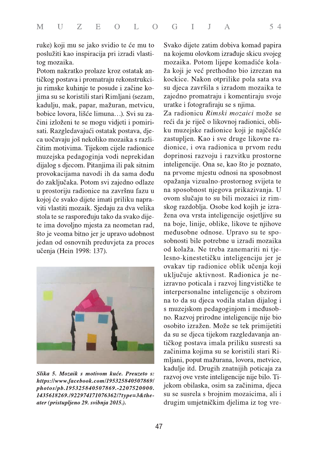ruke) koji mu se jako svidio te će mu to poslužiti kao inspiracija pri izradi vlastitog mozaika.

Potom nakratko prolaze kroz ostatak antičkog postava i promatraju rekonstrukciju rimske kuhinje te posude i začine kojima su se koristili stari Rimljani (sezam, kadulju, mak, papar, mažuran, metvicu, bobice lovora, lišće limuna...). Svi su začini izloženi te se mogu vidjeti i pomirisati. Razgledavajući ostatak postava, djeca uočavaju još nekoliko mozaika s različitim motivima. Tijekom cijele radionice muzejska pedagoginja vodi neprekidan dijalog s djecom. Pitanjima ili pak sitnim provokacijama navodi ih da sama dođu do zaključaka. Potom svi zajedno odlaze u prostoriju radionice na završnu fazu u kojoj će svako dijete imati priliku napraviti vlastiti mozaik. Sjedaju za dva velika stola te se raspoređuju tako da svako dijete ima dovoljno mjesta za neometan rad, što je veoma bitno jer je upravo udobnost jedan od osnovnih preduvjeta za proces učenja (Hein 1998: 137).



Slika 5. Mozaik s motivom kuće. Preuzeto s: https://www.facebook.com/195325840507869/ photos/pb.195325840507869.-2207520000. 1435618269./922974171076362/?type=3&theater (pristupljeno 29. svibnja 2015.).

Svako dijete zatim dobiva komad papira na kojemu olovkom izrađuje skicu svojeg mozaika. Potom lijepe komadiće kolaža koji je već prethodno bio izrezan na kockice. Nakon otprilike pola sata sva su djeca završila s izradom mozaika te zajedno promatraju i komentiraju svoje uratke i fotografiraju se s njima.

Za radionicu Rimski mozaici može se reći da je riječ o likovnoj radionici, obliku muzejske radionice koji je najčešće zastupljen. Kao i sve druge likovne radionice, i ova radionica u prvom redu doprinosi razvoju i razvitku prostorne inteligencije. Ona se, kao što je poznato, na prvome mjestu odnosi na sposobnost opažanja vizualno-prostornog svijeta te na sposobnost njegova prikazivanja. U ovom slučaju to su bili mozaici iz rimskog razdoblja. Osobe kod kojih je izražena ova vrsta inteligencije osjetljive su na boje, linije, oblike, likove te njihove međusobne odnose. Upravo su te sposobnosti bile potrebne u izradi mozaika od kolaža. Ne treba zanemariti ni tjelesno-kinestetičku inteligenciju jer je ovakav tip radionice oblik učenja koji uključuje aktivnost. Radionica je neizravno poticala i razvoj lingvističke te interpersonalne inteligencije s obzirom na to da su djeca vodila stalan dijalog i s muzejskom pedagoginjom i međusobno. Razvoj prirodne inteligencije nije bio osobito izražen. Može se tek primijetiti da su se djeca tijekom razgledavanja antičkog postava imala priliku susresti sa začinima kojima su se koristili stari Rimljani, poput mažurana, lovora, metvice, kadulje itd. Drugih znatnijih poticaja za razvoj ove vrste inteligencije nije bilo. Tijekom obilaska, osim sa začinima, djeca su se susrela s brojnim mozaicima, ali i drugim umjetničkim djelima iz tog vre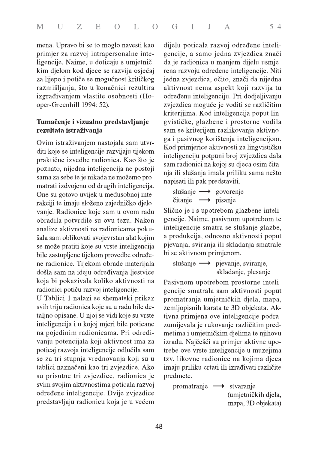mena. Upravo bi se to moglo navesti kao primjer za razvoj intrapersonalne inteligencije. Naime, u doticaju s umjetničkim djelom kod djece se razvija osjećaj za lijepo i potiče se mogućnost kritičkog razmišljanja, što u konačnici rezultira izgrađivanjem vlastite osobnosti (Hooper-Greenhill 1994: 52).

## Tumačenje i vizualno predstavljanje rezultata istraživanja

Ovim istraživanjem nastojala sam utvrditi koje se inteligencije razvijaju tijekom praktične izvedbe radionica. Kao što je poznato, nijedna inteligencija ne postoji sama za sebe te je nikada ne možemo promatrati izdvojenu od drugih inteligencija. One su gotovo uvijek u međusobnoj interakciji te imaju složeno zajedničko djelovanje. Radionice koje sam u ovom radu obradila potvrdile su ovu tezu. Nakon analize aktivnosti na radionicama pokušala sam oblikovati svojevrstan alat kojim se može pratiti koje su vrste inteligencija bile zastupljene tijekom provedbe određene radionice. Tijekom obrade materijala došla sam na ideju određivanja ljestvice koja bi pokazivala koliko aktivnosti na radionici potiču razvoj inteligencije.

U Tablici 1 nalazi se shematski prikaz svih triju radionica koje su u radu bile detaljno opisane. U njoj se vidi koje su vrste inteligencija i u kojoj mjeri bile poticane na pojedinim radionicama. Pri određivanju potencijala koji aktivnost ima za poticaj razvoja inteligencije odlučila sam se za tri stupnja vrednovanja koji su u tablici naznačeni kao tri zvjezdice. Ako su prisutne tri zvjezdice, radionica je svim svojim aktivnostima poticala razvoj određene inteligencije. Dvije zvjezdice predstavljaju radionicu koja je u većem dijelu poticala razvoj određene inteligencije, a samo jedna zvjezdica znači da je radionica u manjem dijelu usmjerena razvoju određene inteligencije. Niti jedna zvjezdica, očito, znači da nijedna aktivnost nema aspekt koji razvija tu određenu inteligenciju. Pri dodjeljivanju zvjezdica moguće je voditi se različitim kriterijima. Kod inteligencija poput lingvističke, glazbene i prostorne vodila sam se kriterijem razlikovanja aktivnoga i pasivnog korištenja inteligencijom. Kod primjerice aktivnosti za lingvističku inteligenciju potpuni broj zvjezdica dala sam radionici na kojoj su djeca osim čitanja ili slušanja imala priliku sama nešto napisati ili pak predstaviti.

```
slušanje \longrightarrow govorenje
\check{c}itanje \longrightarrow pisanje
```
Slično je i s upotrebom glazbene inteligencije. Naime, pasivnom upotrebom te inteligencije smatra se slušanje glazbe, a produkcija, odnosno aktivnosti poput pjevanja, sviranja ili skladanja smatrale bi se aktivnom primjenom.

```
slušanje \longrightarrow pjevanje, sviranje,
                  skladanje, plesanje
```
Pasivnom upotrebom prostorne inteligencije smatrala sam aktivnosti poput promatranja umjetničkih djela, mapa, zemljopisnih karata te 3D objekata. Aktivna primjena ove inteligencije podrazumijevala je rukovanje različitim predmetima i umjetničkim djelima te njihovu izradu. Najčešći su primjer aktivne upotrebe ove vrste inteligencije u muzejima tzv. likovne radionice na kojima djeca imaju priliku crtati ili izrađivati različite predmete.

```
promatranje \longrightarrow stvaranje
                      (umjetničkih djela,
                      mapa, 3D objekata)
```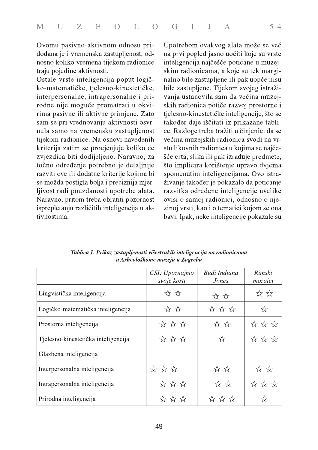Ovomu pasivno-aktivnom odnosu pridodana je i vremenska zastupljenost, odnosno koliko vremena tijekom radionice traju pojedine aktivnosti.

Ostale vrste inteligencija poput logičko-matematičke, tjelesno-kinestetičke, interpersonalne, intrapersonalne i prirodne nije moguće promatrati u okvirima pasivne ili aktivne primjene. Zato sam se pri vrednovanju aktivnosti osvrnula samo na vremensku zastupljenost tijekom radionice. Na osnovi navedenih kriterija zatim se procjenjuje koliko će zvjezdica biti dodijeljeno. Naravno, za točno određenje potrebno je detaljnije razviti ove ili dodatne kriterije kojima bi se možda postigla bolja i preciznija mjerljivost radi pouzdanosti upotrebe alata. Naravno, pritom treba obratiti pozornost isprepletanju različitih inteligencija u aktivnostima.

Upotrebom ovakvog alata može se već na prvi pogled jasno uočiti koje su vrste inteligencija najčešće poticane u muzejskim radionicama, a koje su tek marginalno bile zastupljene ili pak uopće nisu bile zastupljene. Tijekom svojeg istraživanja ustanovila sam da većina muzejskih radionica potiče razvoj prostorne i tjelesno-kinestetičke inteligencije, što se također daje iščitati iz prikazane tablice. Razloge treba tražiti u činjenici da se većina muzejskih radionica svodi na vrstu likovnih radionica u kojima se najčešće crta, slika ili pak izrađuje predmete, što implicira korištenje upravo dvjema spomenutim inteligencijama. Ovo istraživanje također je pokazalo da poticanje razvitka određene inteligencije uvelike ovisi o samoj radionici, odnosno o njezinoj vrsti, kao i o tematici kojom se ona bavi. Ipak, neke inteligencije pokazale su

|                                     | CSI: Upoznajmo<br>svoje kosti | Budi Indiana<br>Jones       | Rimski<br>mozaici |
|-------------------------------------|-------------------------------|-----------------------------|-------------------|
| Lingvistička inteligencija          | ☆ ☆                           | ☆☆                          | ☆☆                |
| Logičko-matematička inteligencija   | ☆☆☆                           | ****                        | ☆                 |
| Prostorna inteligencija             | ☆ ☆ ☆                         | $\frac{1}{2}$ $\frac{1}{2}$ | ☆ ☆ ☆             |
| Tjelesno-kinestetička inteligencija | ☆ ☆ ☆                         | ☆                           | ** ** **          |
| Glazbena inteligencija              |                               |                             |                   |
| Interpersonalna inteligencija       | ☆ ☆ ☆                         | ☆☆☆                         | ☆☆                |
| Intrapersonalna inteligencija       | ☆ ☆ ☆                         | ☆☆                          | ☆ ☆ ☆             |
| Prirodna inteligencija              |                               | ** **                       |                   |

Tablica 1. Prikaz zastupljenosti višestrukih inteligencija na radionicama u Arheološkome muzeju u Zagrebu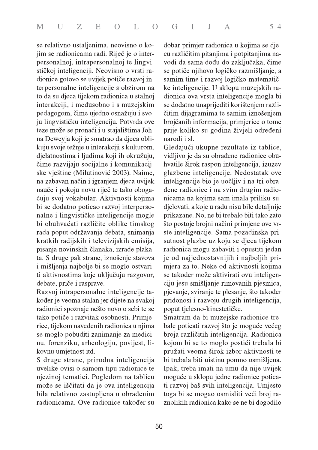se relativno ustaljenima, neovisno o kojim se radionicama radi. Riječ je o interpersonalnoj, intrapersonalnoj te lingvističkoj inteligenciji. Neovisno o vrsti radionice gotovo se uvijek potiče razvoj interpersonalne inteligencije s obzirom na to da su djeca tijekom radionica u stalnoj interakciji, i međusobno i s muzejskim pedagogom, čime ujedno osnažuju i svoju lingvističku inteligenciju. Potvrda ove teze može se pronaći i u stajalištima Johna Deweyja koji je smatrao da djeca oblikuju svoje težnje u interakciji s kulturom, djelatnostima i ljudima koji ih okružuju, čime razvijaju socijalne i komunikacijske vještine (Milutinović 2003). Naime, na zabavan način i igranjem djeca uvijek nauče i pokoju novu riječ te tako obogaćuju svoj vokabular. Aktivnosti kojima bi se dodatno poticao razvoj interpersonalne i lingvističke inteligencije mogle bi obuhvaćati različite oblike timskog rada poput održavanja debata, snimanja kratkih radijskih i televizijskih emisija, pisanja novinskih članaka, izrade plakata. S druge pak strane, iznošenje stavova i mišljenja najbolje bi se moglo ostvariti aktivnostima koje uključuju razgovor, debate, priče i rasprave.

Razvoj intrapersonalne inteligencije također je veoma stalan jer dijete na svakoj radionici spoznaje nešto novo o sebi te se tako potiče i razvitak osobnosti. Primjerice, tijekom navedenih radionica u njima se moglo pobuditi zanimanje za medicinu, forenziku, arheologiju, povijest, likovnu umjetnost itd.

S druge strane, prirodna inteligencija uvelike ovisi o samom tipu radionice te njezinoj tematici. Pogledom na tablicu može se iščitati da je ova inteligencija bila relativno zastupljena u obrađenim radionicama. Ove radionice također su

dobar primjer radionica u kojima se djecu različitim pitanjima i potpitanjima navodi da sama dođu do zaključaka, čime se potiče njihovo logičko razmišljanje, a samim time i razvoj logičko-matematičke inteligencije. U sklopu muzejskih radionica ova vrsta inteligencije mogla bi se dodatno unaprijediti korištenjem različitim dijagramima te samim iznošenjem brojčanih informacija, primjerice o tome prije koliko su godina živjeli određeni narodi i sl.

Gledajući ukupne rezultate iz tablice, vidljivo je da su obrađene radionice obuhvatile širok raspon inteligencija, izuzev glazbene inteligencije. Nedostatak ove inteligencije bio je uočljiv i na tri obradene radionice i na svim drugim radionicama na kojima sam imala priliku sudjelovati, a koje u radu nisu bile detaljnije prikazane. No, ne bi trebalo biti tako zato što postoje brojni načini primjene ove vrste inteligencije. Sama pozadinska prisutnost glazbe uz koju se djeca tijekom radionica mogu zabaviti i opustiti jedan je od najjednostavnijih i najboljih primjera za to. Neke od aktivnosti kojima se također može aktivirati ovu inteligenciju jesu smišljanje rimovanih pjesmica, pjevanje, sviranje te plesanje, što također pridonosi i razvoju drugih inteligencija, poput tjelesno-kinestetičke.

Smatram da bi muzejske radionice trebale poticati razvoj što je moguće većeg broja različitih inteligencija. Radionica kojom bi se to moglo postići trebala bi pružati veoma širok izbor aktivnosti te bi trebala biti uistinu pomno osmišljena. Ipak, treba imati na umu da nije uvijek moguće u sklopu jedne radionice poticati razvoj baš svih inteligencija. Umjesto toga bi se mogao osmisliti veći broj raznolikih radionica kako se ne bi dogodilo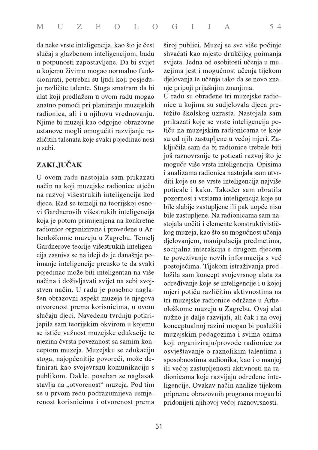da neke vrste inteligencija, kao što je čest slučaj s glazbenom inteligencijom, budu u potpunosti zapostavljene. Da bi svijet u kojemu živimo mogao normalno funkcionirati, potrebni su ljudi koji posjeduju različite talente. Stoga smatram da bi alat koji predlažem u ovom radu mogao znatno pomoći pri planiranju muzejskih radionica, ali i u njihovu vrednovanju. Njime bi muzeji kao odgojno-obrazovne ustanove mogli omogućiti razvijanje različitih talenata koje svaki pojedinac nosi u sebi.

## ZAKLJUČAK

U ovom radu nastojala sam prikazati način na koji muzejske radionice utječu na razvoj višestrukih inteligencija kod djece. Rad se temelji na teorijskoj osnovi Gardnerovih višestrukih inteligencija koja je potom primijenjena na konkretne radionice organizirane i provedene u Arheološkome muzeju u Zagrebu. Temelj Gardnerove teorije višestrukih inteligencija zasniva se na ideji da je današnje poimanje inteligencije preusko te da svaki pojedinac može biti inteligentan na više načina i doživljavati svijet na sebi svojstven način. U radu je posebno naglašen obrazovni aspekt muzeja te njegova otvorenost prema korisnicima, u ovom slučaju djeci. Navedenu tvrdnju potkrijepila sam teorijskim okvirom u kojemu se ističe važnost muzejske edukacije te njezina čvrsta povezanost sa samim konceptom muzeja. Muzejsku se edukaciju stoga, najopćenitije govoreći, može definirati kao svojevrsnu komunikaciju s publikom. Dakle, poseban se naglasak stavlja na "otvorenost" muzeja. Pod tim se u prvom redu podrazumijeva usmjerenost korisnicima i otvorenost prema

široj publici. Muzej se sve više počinje shvaćati kao mjesto drukčijeg poimanja svijeta. Jedna od osobitosti učenja u muzejima jest i mogućnost učenja tijekom djelovanja te učenja tako da se novo znanje pripoji prijašnjim znanjima.

U radu su obrađene tri muzejske radionice u kojima su sudjelovala djeca pretežito školskog uzrasta. Nastojala sam prikazati koje se vrste inteligencija potiču na muzejskim radionicama te koje su od njih zastupljene u većoj mjeri. Zaključila sam da bi radionice trebale biti još raznovrsnije te poticati razvoj što je moguće više vrsta inteligencija. Opisima i analizama radionica nastojala sam utvrditi koje su se vrste inteligencija najviše poticale i kako. Također sam obratila pozornost i vrstama inteligencija koje su bile slabije zastupljene ili pak uopće nisu bile zastupljene. Na radionicama sam nastojala uočiti i elemente konstruktivističkog muzeja, kao što su mogućnost učenja djelovanjem, manipulacija predmetima, socijalna interakcija s drugom djecom te povezivanje novih informacija s već postojećima. Tijekom istraživanja predložila sam koncept svojevrsnog alata za određivanje koje se inteligencije i u kojoj mjeri potiču različitim aktivnostima na tri muzejske radionice održane u Arheološkome muzeju u Zagrebu. Ovaj alat nužno je dalje razvijati, ali čak i na ovoj konceptualnoj razini mogao bi poslužiti muzejskim pedagozima i svima onima koji organiziraju/provode radionice za osvještavanje o raznolikim talentima i sposobnostima sudionika, kao i o manjoj ili većoj zastupljenosti aktivnosti na radionicama koje razvijaju određene inteligencije. Ovakav način analize tijekom pripreme obrazovnih programa mogao bi pridonijeti njihovoj većoj raznovrsnosti.